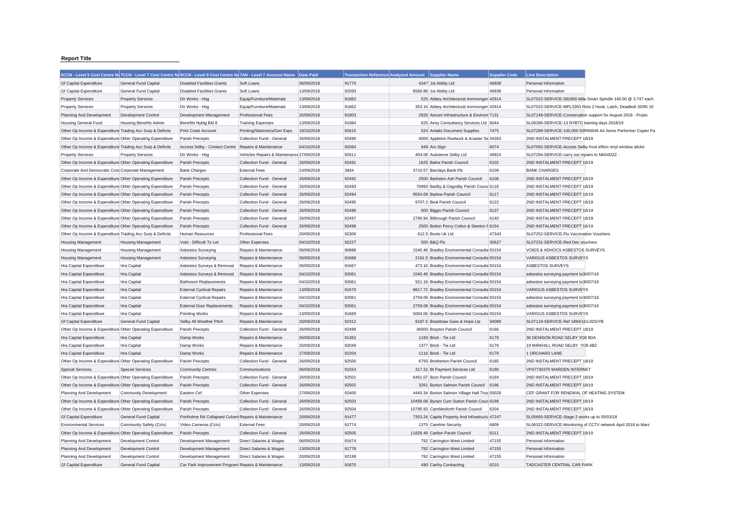## **Report Title**

|                                                           |                              | 5CCN - Level 5 Cost Centre Na 7CCN - Level 7 Cost Centre Na 9CCN - Level 9 Cost Centre Na 7AN - Level 7 Account Name Date Paid |                                           |                          | Transaction Reference Analysed Amount Supplier Name |                                                | <b>Supplier Code</b> | <b>Line Description</b>                                             |                                                               |
|-----------------------------------------------------------|------------------------------|--------------------------------------------------------------------------------------------------------------------------------|-------------------------------------------|--------------------------|-----------------------------------------------------|------------------------------------------------|----------------------|---------------------------------------------------------------------|---------------------------------------------------------------|
| <b>Gf Capital Expenditure</b>                             | <b>General Fund Capital</b>  | <b>Disabled Facilities Grants</b>                                                                                              | Soft Loans                                | 06/09/2018               | 91770                                               | 4347 1st Ability Ltd                           | 49938                | Personal Information                                                |                                                               |
| <b>Gf Capital Expenditure</b>                             | General Fund Capital         | <b>Disabled Facilities Grants</b>                                                                                              | Soft Loans                                | 13/09/2018               | 92093                                               | 8566.89 1st Ability Ltd                        | 49938                | Personal Information                                                |                                                               |
| <b>Property Services</b>                                  | <b>Property Services</b>     | Dir Works - Hsg                                                                                                                | Equip/Furniture/Materials                 | 13/09/2018               | 91862                                               | 525 Abbey Architectural Ironmonger 42914       |                      |                                                                     | SL07022-SERVICE-581900 Mila Smart Spindle 140.00 @ 3.747 each |
| <b>Property Services</b>                                  | <b>Property Services</b>     | Dir Works - Hsg                                                                                                                | Equip/Furniture/Materials                 | 13/09/2018               | 91862                                               | 353.16 Abbey Architectural Ironmonger 42914    |                      |                                                                     | SL07022-SERVICE-MPL3363 Roto 2 Hook, Latch, Deadbolt 35/95 16 |
| Planning And Development                                  | Development Control          | Development Management                                                                                                         | <b>Professional Fees</b>                  | 20/09/2018               | 91903                                               | 2926 Aecom Infrastructure & Environt 7131      |                      |                                                                     | SL07149-SERVICE-Conservation support for August 2018 - Projec |
| <b>Housing General Fund</b>                               | Housing Benefits Admin       | Benefits Nybtg Bid 8                                                                                                           | <b>Training Expenses</b>                  | 13/09/2018               | 91984                                               | 625 Airey Consultancy Services Ltd 6044        |                      | SL06396-SERVICE-13 NYBTG training days 2018/19                      |                                                               |
| Other Op Income & Expenditure Trading Acc Surp & Deficits |                              | <b>Print Costs Account</b>                                                                                                     | Printing/Stationery/Gen Exps              | 18/10/2018               | 92615                                               | 524 Antalis Document Supplies                  | 7475                 |                                                                     | SL07289-SERVICE-100,000 03R90649 A4 Xerox Performer Copier Pa |
| Other Op Income & Expenditure Other Operating Expenditure |                              | Parish Precepts                                                                                                                | Collection Fund - General                 | 26/09/2018               | 92490                                               | 6000 Appleton Roebuck & Acaster Se 34363       |                      | 2ND INSTALMENT PRECEPT 18/19                                        |                                                               |
| Other Op Income & Expenditure Trading Acc Surp & Deficits |                              | Access Selby - Contact Centre                                                                                                  | Repairs & Maintenance                     | 04/10/2018               | 92084                                               | 949 Arc-Sign                                   | 6074                 | SL07092-SERVICE-Access Selby frost effect vinyl window sticke       |                                                               |
| <b>Property Services</b>                                  | <b>Property Services</b>     | Dir Works - Hsg                                                                                                                | Vehicles Repairs & Maintenance 27/09/2018 |                          | 92611                                               | 404.08 Autoserve Selby Ltd                     | 49924                | SL07294-SERVICE-carry out repairs to NK64DZZ                        |                                                               |
| Other Op Income & Expenditure Other Operating Expenditure |                              | <b>Parish Precepts</b>                                                                                                         | Collection Fund - General                 | 26/09/2018               | 92491                                               | 1625 Balne Parish Council                      | 6102                 | 2ND INSTALMENT PRECEPT 18/19                                        |                                                               |
| Corporate And Democratic Core Corporate Management        |                              | <b>Bank Charges</b>                                                                                                            | <b>External Fees</b>                      | 24/09/2018               | 3844                                                | 3710.57 Barclays Bank Plc                      | 6109                 | <b>BANK CHARGES</b>                                                 |                                                               |
| Other Op Income & Expenditure Other Operating Expenditure |                              | Parish Precepts                                                                                                                | Collection Fund - General                 | 26/09/2018               | 92492                                               | 2500 Barkston Ash Parish Council               | 6108                 | 2ND INSTALMENT PRECEPT 18/19                                        |                                                               |
| Other Op Income & Expenditure Other Operating Expenditure |                              | Parish Precepts                                                                                                                | Collection Fund - General                 | 26/09/2018               | 92493                                               | 76950 Barlby & Osgodby Parish Counc 6116       |                      | 2ND INSTALMENT PRECEPT 18/19                                        |                                                               |
| Other Op Income & Expenditure Other Operating Expenditure |                              | Parish Precepts                                                                                                                | Collection Fund - General                 | 26/09/2018               | 92494                                               | 9554.09 Barlow Parish Council                  | 6117                 | 2ND INSTALMENT PRECEPT 18/19                                        |                                                               |
| Other Op Income & Expenditure Other Operating Expenditure |                              | Parish Precepts                                                                                                                | Collection Fund - General                 | 26/09/2018               | 92495                                               | 9707.2 Beal Parish Council                     | 6122                 | 2ND INSTALMENT PRECEPT 18/19                                        |                                                               |
| Other Op Income & Expenditure Other Operating Expenditure |                              | Parish Precepts                                                                                                                | Collection Fund - General                 | 26/09/2018               | 92496                                               | 600 Biggin Parish Council                      | 6137                 | 2ND INSTALMENT PRECEPT 18/19                                        |                                                               |
| Other Op Income & Expenditure Other Operating Expenditure |                              | Parish Precepts                                                                                                                | Collection Fund - General                 | 26/09/2018               | 92497                                               | 2790.94 Bilbrough Parish Council               | 6140                 | 2ND INSTALMENT PRECEPT 18/19                                        |                                                               |
| Other Op Income & Expenditure Other Operating Expenditure |                              | <b>Parish Precepts</b>                                                                                                         | Collection Fund - General                 | 26/09/2018               | 92498                                               | 2500 Bolton Percy Colton & Steeton F 6154      |                      | 2ND INSTALMENT PRECEPT 18/19                                        |                                                               |
| Other Op Income & Expenditure Trading Acc Surp & Deficits |                              | Human Resources                                                                                                                | <b>Professional Fees</b>                  | 20/09/2018               | 92306                                               | 612.5 Boots Uk Ltd                             | 47343                | SL07252-SERVICE-Flu Vaccination Vouchers                            |                                                               |
|                                                           |                              |                                                                                                                                |                                           |                          | 92227                                               | 500 B&Q Plc                                    | 30627                |                                                                     |                                                               |
| <b>Housing Management</b>                                 | <b>Housing Management</b>    | Void - Difficult To Let                                                                                                        | Other Expenses                            | 04/10/2018<br>06/09/2018 | 90888                                               |                                                |                      | SL07231-SERVICE-Red Dec vouchers<br>VOIDS & ADHOCS ASBESTOS SURVEYS |                                                               |
| <b>Housing Management</b>                                 | <b>Housing Management</b>    | Asbestos Surveying                                                                                                             | Repairs & Maintenance                     |                          |                                                     | 1540.46 Bradley Environmental Consulta 50154   |                      |                                                                     |                                                               |
| <b>Housing Management</b>                                 | <b>Housing Management</b>    | Asbestos Surveying                                                                                                             | Repairs & Maintenance                     | 06/09/2018               | 91668                                               | 2161.5 Bradley Environmental Consulta 50154    |                      | VARIOUS ASBESTOS SURVEYS                                            |                                                               |
| Hra Capital Expenditure                                   | Hra Capital                  | Asbestos Surveys & Removal                                                                                                     | Repairs & Maintenance                     | 06/09/2018               | 91667                                               | 473.16 Bradley Environmental Consulta 50154    |                      | ASBESTOS SURVEYS                                                    |                                                               |
| Hra Capital Expenditure                                   | Hra Capital                  | Asbestos Surveys & Removal                                                                                                     | Repairs & Maintenance                     | 04/10/2018               | 92061                                               | 1540.46 Bradley Environmental Consulta 50154   |                      | asbestos surveying payment to 30/07/18                              |                                                               |
| Hra Capital Expenditure                                   | Hra Capital                  | <b>Bathroom Replacements</b>                                                                                                   | Repairs & Maintenance                     | 04/10/2018               | 92061                                               | 921.18 Bradley Environmental Consulta 50154    |                      | asbestos surveying payment to30/07/18                               |                                                               |
| Hra Capital Expenditure                                   | Hra Capital                  | <b>External Cyclical Repairs</b>                                                                                               | Repairs & Maintenance                     | 13/09/2018               | 91670                                               | 8817.72 Bradley Environmental Consulta 50154   |                      | VARIOUS ASBESTOS SURVEYS                                            |                                                               |
| Hra Capital Expenditure                                   | Hra Capital                  | <b>External Cyclical Repairs</b>                                                                                               | Repairs & Maintenance                     | 04/10/2018               | 92061                                               | 2759.08 Bradley Environmental Consulta 50154   |                      | asbestos surveying payment to30/07/18                               |                                                               |
| Hra Capital Expenditure                                   | Hra Capital                  | <b>External Door Replacements</b>                                                                                              | Repairs & Maintenance                     | 04/10/2018               | 92061                                               | 2759.08 Bradley Environmental Consulta 50154   |                      | asbestos surveying payment to30/07/18                               |                                                               |
| Hra Capital Expenditure                                   | Hra Capital                  | Pointing Works                                                                                                                 | Repairs & Maintenance                     | 13/09/2018               | 91669                                               | 5004.06 Bradley Environmental Consulta 50154   |                      | VARIOUS ASBESTOS SURVEYS                                            |                                                               |
| <b>Gf Capital Expenditure</b>                             | <b>General Fund Capital</b>  | Selby All Weather Pitch                                                                                                        | Repairs & Maintenance                     | 20/09/2018               | 92312                                               | 9187.5 Bradshaw Gass & Hope Llp                | 34089                | SL07119-SERVICE-Ref 1894/161/JDS/YB                                 |                                                               |
| Other Op Income & Expenditure Other Operating Expenditure |                              | Parish Precepts                                                                                                                | Collection Fund - General                 | 26/09/2018               | 92499                                               | 36000 Brayton Parish Council                   | 6166                 | 2ND INSTALMENT PRECEPT 18/19                                        |                                                               |
| Hra Capital Expenditure                                   | Hra Capital                  | Damp Works                                                                                                                     | Repairs & Maintenance                     | 06/09/2018               | 91362                                               | 1193 Brick - Tie Ltd                           | 6179                 | 36 DENISON ROAD SELBY YO8 8DA                                       |                                                               |
| Hra Capital Expenditure                                   | Hra Capital                  | Damp Works                                                                                                                     | Repairs & Maintenance                     | 20/09/2018               | 92049                                               | 1377 Brick - Tie Ltd                           | 6179                 | 19 MIRKHILL ROAD SELBY YO8 4BZ                                      |                                                               |
| Hra Capital Expenditure                                   | Hra Capital                  | Damp Works                                                                                                                     | Repairs & Maintenance                     | 27/09/2018               | 92204                                               | 1116 Brick - Tie Ltd                           | 6179                 | 1 ORCHARD LANE                                                      |                                                               |
| Other Op Income & Expenditure Other Operating Expenditure |                              | Parish Precepts                                                                                                                | Collection Fund - General                 | 26/09/2018               | 92500                                               | 6750 Brotherton Parish Council                 | 6185                 | 2ND INSTALMENT PRECEPT 18/19                                        |                                                               |
| <b>Special Services</b>                                   | <b>Special Services</b>      | <b>Community Centres</b>                                                                                                       | Communications                            | 06/09/2018               | 91554                                               | 317.22 Bt Payment Services Ltd                 | 6190                 | VP47730370 WARDEN INTERNET                                          |                                                               |
| Other Op Income & Expenditure Other Operating Expenditure |                              | Parish Precepts                                                                                                                | Collection Fund - General                 | 26/09/2018               | 92501                                               | 6461.07 Burn Parish Council                    | 6194                 | 2ND INSTALMENT PRECEPT 18/19                                        |                                                               |
| Other Op Income & Expenditure Other Operating Expenditure |                              | <b>Parish Precepts</b>                                                                                                         | Collection Fund - General                 | 26/09/2018               | 92502                                               | 3261 Burton Salmon Parish Council 6196         |                      | 2ND INSTALMENT PRECEPT 18/19                                        |                                                               |
| Planning And Development                                  | <b>Community Development</b> | Eastern Cef                                                                                                                    | Other Expenses                            | 27/09/2018               | 92400                                               | 4445.34 Burton Salmon Village Hall Trus 50028  |                      | CEF GRANT FOR RENEWAL OF HEATING SYSTEM                             |                                                               |
| Other Op Income & Expenditure Other Operating Expenditure |                              | Parish Precepts                                                                                                                | Collection Fund - General                 | 26/09/2018               | 92503                                               | 10459.08 Byram Cum Sutton Parish Coun 6199     |                      | 2ND INSTALMENT PRECEPT 18/19                                        |                                                               |
| Other Op Income & Expenditure Other Operating Expenditure |                              | Parish Precepts                                                                                                                | Collection Fund - General                 | 26/09/2018               | 92504                                               | 10795.83 Camblesforth Parish Council           | 6204                 | 2ND INSTALMENT PRECEPT 18/19                                        |                                                               |
| <b>Gf Capital Expenditure</b>                             | <b>General Fund Capital</b>  | Portholme Rd Collapsed Culverl Repairs & Maintenance                                                                           |                                           | 20/09/2018               | 91477                                               | 7353.24 Capita Property And Infrastructu 47247 |                      | SL05665-SERVICE-Stage 2 works up to 05/03/18                        |                                                               |
| <b>Environmental Services</b>                             | Community Safety (Cctv)      | Video Cameras (Cctv)                                                                                                           | <b>External Fees</b>                      | 20/09/2018               | 91774                                               | 1375 Careline Security                         | 6809                 |                                                                     | SL06322-SERVICE-Monitoring of CCTV network April 2018 to Marc |
| Other Op Income & Expenditure Other Operating Expenditure |                              | Parish Precepts                                                                                                                | Collection Fund - General                 | 26/09/2018               | 92505                                               | 11828.49 Carlton Parish Council                | 6211                 | 2ND INSTALMENT PRECEPT 18/19                                        |                                                               |
| Planning And Development                                  | Development Control          | Development Management                                                                                                         | Direct Salaries & Wages                   | 06/09/2018               | 91674                                               | 792 Carrington West Limited                    | 47155                | Personal Information                                                |                                                               |
| Planning And Development                                  | Development Control          | Development Management                                                                                                         | Direct Salaries & Wages                   | 13/09/2018               | 91778                                               | 792 Carrington West Limited                    | 47155                | Personal Information                                                |                                                               |
| Planning And Development                                  | Development Control          | Development Management                                                                                                         | Direct Salaries & Wages                   | 20/09/2018               | 92199                                               | 792 Carrington West Limited                    | 47155                | Personal Information                                                |                                                               |
| <b>Gf Capital Expenditure</b>                             | <b>General Fund Capital</b>  | Car Park Improvement Program Repairs & Maintenance                                                                             |                                           | 13/09/2018               | 91870                                               | 490 Carthy Contracting                         | 6210                 | TADCASTER CENTRAL CAR PARK                                          |                                                               |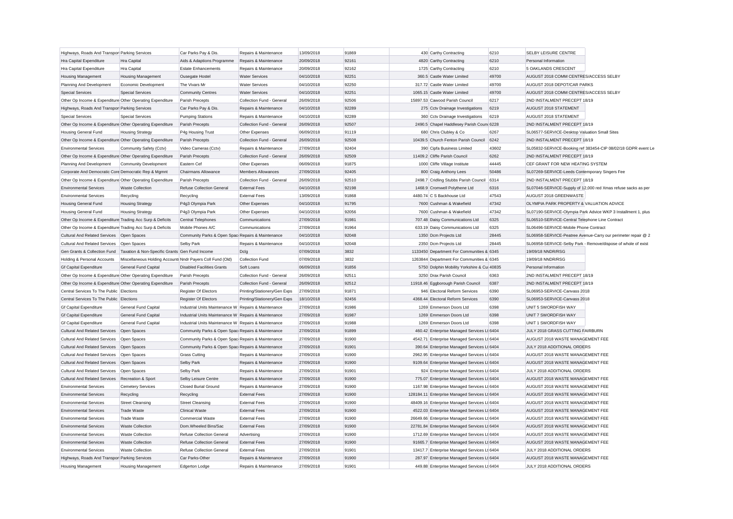| Highways, Roads And Transpor Parking Services             |                                                            | Car Parks Pay & Dis.                                 | Repairs & Maintenance        | 13/09/2018 | 91869 | 430 Carthy Contracting                        | 6210  | SELBY LEISURE CENTRE                            |                                                               |
|-----------------------------------------------------------|------------------------------------------------------------|------------------------------------------------------|------------------------------|------------|-------|-----------------------------------------------|-------|-------------------------------------------------|---------------------------------------------------------------|
| Hra Capital Expenditure                                   | Hra Capital                                                | Aids & Adaptions Programme                           | Repairs & Maintenance        | 20/09/2018 | 92161 | 4820 Carthy Contracting                       | 6210  | Personal Information                            |                                                               |
| Hra Capital Expenditure                                   | Hra Capital                                                | <b>Estate Enhancements</b>                           | Repairs & Maintenance        | 20/09/2018 | 92162 | 1725 Carthy Contracting                       | 6210  | 5 OAKLANDS CRESCENT                             |                                                               |
| <b>Housing Management</b>                                 | <b>Housing Management</b>                                  | Ousegate Hostel                                      | <b>Water Services</b>        | 04/10/2018 | 92251 | 360.5 Castle Water Limited                    | 49700 | AUGUST 2018 COMM CENTRES/ACCESS SELBY           |                                                               |
| Planning And Development                                  | Economic Development                                       | The Vivars Mr                                        | <b>Water Services</b>        | 04/10/2018 | 92250 | 317.72 Castle Water Limited                   | 49700 | AUGUST 2018 DEPOT/CAR PARKS                     |                                                               |
| <b>Special Services</b>                                   | <b>Special Services</b>                                    | <b>Community Centres</b>                             | <b>Water Services</b>        | 04/10/2018 | 92251 | 1065.15 Castle Water Limited                  | 49700 | AUGUST 2018 COMM CENTRES/ACCESS SELBY           |                                                               |
| Other Op Income & Expenditure Other Operating Expenditure |                                                            | Parish Precepts                                      | Collection Fund - General    | 26/09/2018 | 92506 | 15897.53 Cawood Parish Council                | 6217  | 2ND INSTALMENT PRECEPT 18/19                    |                                                               |
| Highways, Roads And Transpor Parking Services             |                                                            | Car Parks Pay & Dis.                                 | Repairs & Maintenance        | 04/10/2018 | 92289 | 275 Cctv Drainage Investigations              | 6219  | AUGUST 2018 STATEMENT                           |                                                               |
| <b>Special Services</b>                                   | <b>Special Services</b>                                    | <b>Pumping Stations</b>                              | Repairs & Maintenance        | 04/10/2018 | 92289 | 360 Cctv Drainage Investigations              | 6219  | AUGUST 2018 STATEMENT                           |                                                               |
| Other Op Income & Expenditure Other Operating Expenditure |                                                            | Parish Precepts                                      | Collection Fund - General    | 26/09/2018 | 92507 | 2490.5 Chapel Haddlesey Parish Count 6228     |       | 2ND INSTALMENT PRECEPT 18/19                    |                                                               |
| <b>Housing General Fund</b>                               | <b>Housing Strategy</b>                                    | P4g Housing Trust                                    | Other Expenses               | 06/09/2018 | 91119 | 680 Chris Clubley & Co                        | 6267  | SL06577-SERVICE-Desktop Valuation Small Sites   |                                                               |
| Other Op Income & Expenditure Other Operating Expenditure |                                                            | Parish Precepts                                      | Collection Fund - General    | 26/09/2018 | 92508 | 10439.5 Church Fenton Parish Council          | 6242  | 2ND INSTALMENT PRECEPT 18/19                    |                                                               |
| <b>Environmental Services</b>                             | Community Safety (Cctv)                                    | Video Cameras (Cctv)                                 | Repairs & Maintenance        | 27/09/2018 | 92404 | 390 Cipfa Business Limited                    | 43602 |                                                 | SL05832-SERVICE-Booking ref 383454-CIP 08/02/18 GDPR event Le |
| Other Op Income & Expenditure Other Operating Expenditure |                                                            | Parish Precepts                                      | Collection Fund - General    | 26/09/2018 | 92509 | 11409.2 Cliffe Parish Council                 | 6262  | 2ND INSTALMENT PRECEPT 18/19                    |                                                               |
| Planning And Development                                  | <b>Community Development</b>                               | Eastern Cef                                          | Other Expenses               | 06/09/2018 | 91875 | 1000 Cliffe Village Institute                 | 44445 | CEF GRANT FOR NEW HEATING SYSTEM                |                                                               |
| Corporate And Democratic Core Democratic Rep & Mgmnt      |                                                            | Chairmans Allowance                                  | <b>Members Allowances</b>    | 27/09/2018 | 92405 | 800 Craig Anthony Lees                        | 50486 | SL07269-SERVICE-Leeds Contemporary Singers Fee  |                                                               |
| Other Op Income & Expenditure Other Operating Expenditure |                                                            | Parish Precepts                                      | Collection Fund - General    | 26/09/2018 | 92510 | 2498.7 Cridling Stubbs Parish Council         | 6314  | 2ND INSTALMENT PRECEPT 18/19                    |                                                               |
| <b>Environmental Services</b>                             | <b>Waste Collection</b>                                    | Refuse Collection General                            | <b>External Fees</b>         | 04/10/2018 | 92198 | 1468.9 Cromwell Polythene Ltd                 | 6316  |                                                 | SL07046-SERVICE-Supply of 12,000 red Xmas refuse sacks as per |
| <b>Environmental Services</b>                             | Recycling                                                  | Recycling                                            | <b>External Fees</b>         | 13/09/2018 | 91868 | 4480.74 C S Backhouse Ltd                     | 47543 | AUGUST 2018 GREENWASTE                          |                                                               |
|                                                           |                                                            |                                                      |                              |            | 91795 | 7600 Cushman & Wakefield                      | 47342 | OLYMPIA PARK PROPERTY & VALUATION ADVICE.       |                                                               |
| <b>Housing General Fund</b>                               | <b>Housing Strategy</b>                                    | P4g3 Olympia Park                                    | Other Expenses               | 04/10/2018 | 92056 | 7600 Cushman & Wakefield                      | 47342 |                                                 |                                                               |
| <b>Housing General Fund</b>                               | <b>Housing Strategy</b>                                    | P4g3 Olympia Park                                    | Other Expenses               | 04/10/2018 | 91981 |                                               |       |                                                 | SL07190-SERVICE-Olympia Park Advice WKP 3 Installment 1, plus |
| Other Op Income & Expenditure Trading Acc Surp & Deficits |                                                            | <b>Central Telephones</b>                            | Communications               | 27/09/2018 |       | 707.48 Daisy Communications Ltd               | 6325  | SL06510-SERVICE-Central Telephone Line Contract |                                                               |
| Other Op Income & Expenditure Trading Acc Surp & Deficits |                                                            | Mobile Phones A/C                                    | Communications               | 27/09/2018 | 91964 | 633.19 Daisy Communications Ltd               | 6325  | SL06496-SERVICE-Mobile Phone Contract           |                                                               |
| Cultural And Related Services Open Spaces                 |                                                            | Community Parks & Open Spac Repairs & Maintenance    |                              | 04/10/2018 | 92048 | 1350 Dcm Projects Ltd                         | 28445 |                                                 | SL06958-SERVICE-Peatree Avenue-Carry our perimeter repair @ 2 |
| <b>Cultural And Related Services</b>                      | Open Spaces                                                | Selby Park                                           | Repairs & Maintenance        | 04/10/2018 | 92048 | 2350 Dcm Projects Ltd                         | 28445 |                                                 | SL06958-SERVICE-Selby Park - Remove/dispose of whole of exist |
| Gen Grants & Collection Fund                              | Taxation & Non-Specific Grants Gen Fund Income             |                                                      | Dclg                         | 07/09/2018 | 3832  | 1133450 Department For Communities & 6345     |       | 19/09/18 NNDR/RSG                               |                                                               |
| Holding & Personal Accounts                               | Miscellaneous Holding Accounts Nndr Payers Coll Fund (Old) |                                                      | <b>Collection Fund</b>       | 07/09/2018 | 3832  | 1263844 Department For Communities & 6345     |       | 19/09/18 NNDR/RSG                               |                                                               |
| <b>Gf Capital Expenditure</b>                             | <b>General Fund Capital</b>                                | <b>Disabled Facilities Grants</b>                    | Soft Loans                   | 06/09/2018 | 91856 | 5750 Dolphin Mobility Yorkshire & Cui 40835   |       | Personal Information                            |                                                               |
| Other Op Income & Expenditure Other Operating Expenditure |                                                            | Parish Precepts                                      | Collection Fund - General    | 26/09/2018 | 92511 | 3250 Drax Parish Council                      | 6363  | 2ND INSTALMENT PRECEPT 18/19                    |                                                               |
| Other Op Income & Expenditure Other Operating Expenditure |                                                            | Parish Precepts                                      | Collection Fund - General    | 26/09/2018 | 92512 | 11918.46 Eggborough Parish Council            | 6387  | 2ND INSTALMENT PRECEPT 18/19                    |                                                               |
| Central Services To The Public Elections                  |                                                            | Register Of Electors                                 | Printing/Stationery/Gen Exps | 27/09/2018 | 91871 | 946 Electoral Reform Services                 | 6390  | SL06953-SERVICE-Canvass 2018                    |                                                               |
| Central Services To The Public Elections                  |                                                            | <b>Register Of Electors</b>                          | Printing/Stationery/Gen Exps | 18/10/2018 | 92456 | 4368.44 Electoral Reform Services             | 6390  | SL06953-SERVICE-Canvass 2018                    |                                                               |
| <b>Gf Capital Expenditure</b>                             | <b>General Fund Capital</b>                                | Industrial Units Maintenance W Repairs & Maintenance |                              | 27/09/2018 | 91986 | 1269 Emmerson Doors Ltd                       | 6398  | UNIT 5 SWORDFISH WAY                            |                                                               |
| <b>Gf Capital Expenditure</b>                             | General Fund Capital                                       | Industrial Units Maintenance W Repairs & Maintenance |                              | 27/09/2018 | 91987 | 1269 Emmerson Doors Ltd                       | 6398  | UNIT 7 SWORDFISH WAY                            |                                                               |
| <b>Gf Capital Expenditure</b>                             | General Fund Capital                                       | Industrial Units Maintenance W Repairs & Maintenance |                              | 27/09/2018 | 91988 | 1269 Emmerson Doors Ltd                       | 6398  | UNIT 1 SWORDFISH WAY                            |                                                               |
| <b>Cultural And Related Services</b>                      | Open Spaces                                                | Community Parks & Open Spac Repairs & Maintenance    |                              | 27/09/2018 | 91899 | 460.42 Enterprise Managed Services Lt 6404    |       | JULY 2018 GRASS CUTTING FAIRBURN                |                                                               |
| <b>Cultural And Related Services</b>                      | Open Spaces                                                | Community Parks & Open Spac Repairs & Maintenance    |                              | 27/09/2018 | 91900 | 4542.71 Enterprise Managed Services Lt 6404   |       | AUGUST 2018 WASTE MANAGEMENT FEE                |                                                               |
| <b>Cultural And Related Services</b>                      | Open Spaces                                                | Community Parks & Open Spac Repairs & Maintenance    |                              | 27/09/2018 | 91901 | 390.64 Enterprise Managed Services Lt 6404    |       | JULY 2018 ADDITIONAL ORDERS                     |                                                               |
| <b>Cultural And Related Services</b>                      | Open Spaces                                                | <b>Grass Cutting</b>                                 | Repairs & Maintenance        | 27/09/2018 | 91900 | 2962.95 Enterprise Managed Services Lt 6404   |       | AUGUST 2018 WASTE MANAGEMENT FEE                |                                                               |
| <b>Cultural And Related Services</b>                      | Open Spaces                                                | Selby Park                                           | Repairs & Maintenance        | 27/09/2018 | 91900 | 9109.64 Enterprise Managed Services Lt 6404   |       | AUGUST 2018 WASTE MANAGEMENT FEE                |                                                               |
| <b>Cultural And Related Services</b>                      | Open Spaces                                                | Selby Park                                           | Repairs & Maintenance        | 27/09/2018 | 91901 | 924 Enterprise Managed Services Lt 6404       |       | JULY 2018 ADDITIONAL ORDERS                     |                                                               |
| <b>Cultural And Related Services</b>                      | Recreation & Sport                                         | Selby Leisure Centre                                 | Repairs & Maintenance        | 27/09/2018 | 91900 | 775.07 Enterprise Managed Services Lt 6404    |       | AUGUST 2018 WASTE MANAGEMENT FEE                |                                                               |
| <b>Environmental Services</b>                             | <b>Cemetery Services</b>                                   | <b>Closed Burial Ground</b>                          | Repairs & Maintenance        | 27/09/2018 | 91900 | 1167.98 Enterprise Managed Services Lt 6404   |       | AUGUST 2018 WASTE MANAGEMENT FEE                |                                                               |
| <b>Environmental Services</b>                             | Recycling                                                  | Recycling                                            | <b>External Fees</b>         | 27/09/2018 | 91900 | 128184.11 Enterprise Managed Services Lt 6404 |       | AUGUST 2018 WASTE MANAGEMENT FEE                |                                                               |
| <b>Environmental Services</b>                             | <b>Street Cleansing</b>                                    | <b>Street Cleansing</b>                              | <b>External Fees</b>         | 27/09/2018 | 91900 | 48409.16 Enterprise Managed Services Lt 6404  |       | AUGUST 2018 WASTE MANAGEMENT FEE                |                                                               |
| <b>Environmental Services</b>                             | <b>Trade Waste</b>                                         | <b>Clinical Waste</b>                                | <b>External Fees</b>         | 27/09/2018 | 91900 | 4522.03 Enterprise Managed Services Lt 6404   |       | AUGUST 2018 WASTE MANAGEMENT FEE                |                                                               |
| <b>Environmental Services</b>                             | <b>Trade Waste</b>                                         | Commercial Waste                                     | <b>External Fees</b>         | 27/09/2018 | 91900 | 26649.66 Enterprise Managed Services Lt 6404  |       | AUGUST 2018 WASTE MANAGEMENT FEE                |                                                               |
| <b>Environmental Services</b>                             | <b>Waste Collection</b>                                    | Dom Wheeled Bins/Sac                                 | <b>External Fees</b>         | 27/09/2018 | 91900 | 22781.84 Enterprise Managed Services Lt 6404  |       | AUGUST 2018 WASTE MANAGEMENT FEE                |                                                               |
| <b>Environmental Services</b>                             | <b>Waste Collection</b>                                    | Refuse Collection General                            | Advertising                  | 27/09/2018 | 91900 | 1712.69 Enterprise Managed Services Lt 6404   |       | AUGUST 2018 WASTE MANAGEMENT FEE                |                                                               |
| <b>Environmental Services</b>                             | <b>Waste Collection</b>                                    | Refuse Collection General                            | <b>External Fees</b>         | 27/09/2018 | 91900 | 91665.7 Enterprise Managed Services Lt 6404   |       | AUGUST 2018 WASTE MANAGEMENT FEE                |                                                               |
| <b>Environmental Services</b>                             | Waste Collection                                           | <b>Refuse Collection General</b>                     | <b>External Fees</b>         | 27/09/2018 | 91901 | 13417.7 Enterprise Managed Services Lt 6404   |       | JULY 2018 ADDITIONAL ORDERS                     |                                                               |
| Highways, Roads And Transpor Parking Services             |                                                            | Car Parks-Other                                      | Repairs & Maintenance        | 27/09/2018 | 91900 | 287.97 Enterprise Managed Services Lt 6404    |       | AUGUST 2018 WASTE MANAGEMENT FEE                |                                                               |
| <b>Housing Management</b>                                 | <b>Housing Management</b>                                  | <b>Edgerton Lodge</b>                                | Repairs & Maintenance        | 27/09/2018 | 91901 | 449.88 Enterprise Managed Services Lt 6404    |       | JULY 2018 ADDITIONAL ORDERS                     |                                                               |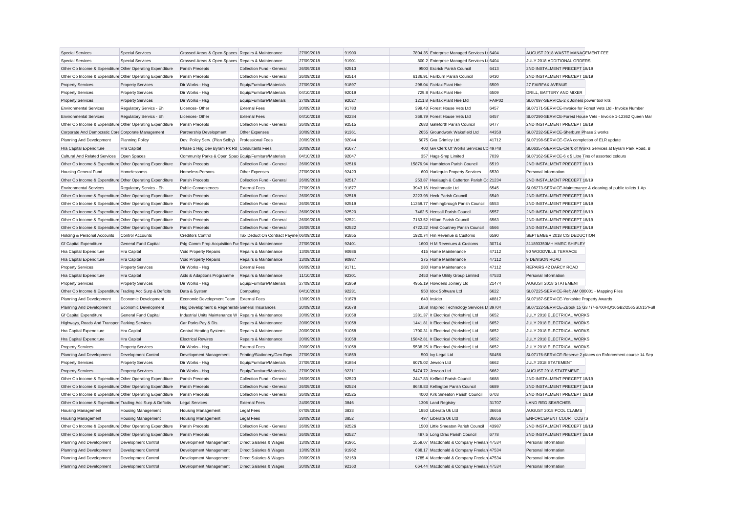| <b>Special Services</b>                                   | <b>Special Services</b>     | Grassed Areas & Open Spaces Repairs & Maintenance     |                                         | 27/09/2018 | 91900 | 7804.35 Enterprise Managed Services Lt 6404 |        | AUGUST 2018 WASTE MANAGEMENT FEE                              |
|-----------------------------------------------------------|-----------------------------|-------------------------------------------------------|-----------------------------------------|------------|-------|---------------------------------------------|--------|---------------------------------------------------------------|
| <b>Special Services</b>                                   | <b>Special Services</b>     | Grassed Areas & Open Spaces Repairs & Maintenance     |                                         | 27/09/2018 | 91901 | 800.2 Enterprise Managed Services Lt 6404   |        | JULY 2018 ADDITIONAL ORDERS                                   |
| Other Op Income & Expenditure Other Operating Expenditure |                             | Parish Precepts                                       | Collection Fund - General               | 26/09/2018 | 92513 | 9500 Escrick Parish Council                 | 6413   | 2ND INSTALMENT PRECEPT 18/19                                  |
| Other Op Income & Expenditure Other Operating Expenditure |                             | Parish Precepts                                       | Collection Fund - General               | 26/09/2018 | 92514 | 6136.91 Fairburn Parish Council             | 6430   | 2ND INSTALMENT PRECEPT 18/19                                  |
| <b>Property Services</b>                                  | <b>Property Services</b>    | Dir Works - Hsg                                       | Equip/Furniture/Materials               | 27/09/2018 | 91897 | 298.04 Fairfax Plant Hire                   | 6509   | 27 FAIRFAX AVENUE                                             |
| <b>Property Services</b>                                  | <b>Property Services</b>    | Dir Works - Hsg                                       | Equip/Furniture/Materials               | 04/10/2018 | 92019 | 729.8 Fairfax Plant Hire                    | 6509   | DRILL, BATTERY AND MIXER                                      |
| <b>Property Services</b>                                  | <b>Property Services</b>    | Dir Works - Hsg                                       | Equip/Furniture/Materials               | 27/09/2018 | 92027 | 1211.8 Fairfax Plant Hire Ltd               | FAIP02 | SL07097-SERVICE-2 x Joiners power tool kits                   |
| <b>Environmental Services</b>                             | Regulatory Servics - Eh     | Licences-Other                                        | <b>External Fees</b>                    | 20/09/2018 | 91783 | 399.43 Forest House Vets Ltd                | 6457   | SL07171-SERVICE-Invoice for Forest Vets Ltd - Invoice Number  |
| <b>Environmental Services</b>                             | Regulatory Servics - Eh     | Licences-Other                                        | <b>External Fees</b>                    | 04/10/2018 | 92234 | 369.79 Forest House Vets Ltd                | 6457   | SL07290-SERVICE-Forest House Vets - Invoice 1-12362 Queen Mar |
| Other Op Income & Expenditure Other Operating Expenditure |                             | Parish Precepts                                       | Collection Fund - General               | 26/09/2018 | 92515 | 2683 Gateforth Parish Council               | 6477   | 2ND INSTALMENT PRECEPT 18/19                                  |
| Corporate And Democratic Core Corporate Management        |                             | Partnership Development                               | Other Expenses                          | 20/09/2018 | 91361 | 2655 Groundwork Wakefield Ltd               | 44350  | SL07232-SERVICE-Sherburn Phase 2 works                        |
| Planning And Development                                  | <b>Planning Policy</b>      | Dev. Policy Serv. (Plan Selby)                        | Professional Fees                       | 20/09/2018 | 92044 | 6075 Gva Grimley Ltd                        | 41712  | SL07198-SERVICE-GVA completion of ELR update                  |
| Hra Capital Expenditure                                   | Hra Capital                 | Phase 1 Hsg Dev Byram Pk Rd Consultants Fees          |                                         | 20/09/2018 | 91677 | 400 Gw Clerk Of Works Services Ltc 49748    |        | SL06357-SERVICE-Clerk of Works Services at Byram Park Road, B |
| Cultural And Related Services                             | Open Spaces                 | Community Parks & Open Spac Equip/Furniture/Materials |                                         | 04/10/2018 | 92047 | 357 Hags-Smp Limited                        | 7039   | SL07162-SERVICE-6 x 5 Litre Tins of assorted colours          |
| Other Op Income & Expenditure Other Operating Expenditure |                             | Parish Precepts                                       | Collection Fund - General               | 26/09/2018 | 92516 | 15876.94 Hambleton Parish Council           | 6519   | 2ND INSTALMENT PRECEPT 18/19                                  |
| <b>Housing General Fund</b>                               | Homelessness                | <b>Homeless Persons</b>                               | Other Expenses                          | 27/09/2018 | 92423 | 600 Harlequin Property Services             | 6530   | Personal Information                                          |
| Other Op Income & Expenditure Other Operating Expenditure |                             | Parish Precepts                                       | Collection Fund - General               | 26/09/2018 | 92517 | 253.87 Healaugh & Catterton Parish Co 21234 |        | 2ND INSTALMENT PRECEPT 18/19                                  |
| <b>Environmental Services</b>                             | Regulatory Servics - Eh     | <b>Public Conveniences</b>                            | <b>External Fees</b>                    | 27/09/2018 | 91877 | 3943.16 Healthmatic Ltd                     | 6545   | SL06273-SERVICE-Maintenance & cleaning of public toilets 1 Ap |
| Other Op Income & Expenditure Other Operating Expenditure |                             | <b>Parish Precepts</b>                                | Collection Fund - General               | 26/09/2018 | 92518 | 2223.98 Heck Parish Council                 | 6549   | 2ND INSTALMENT PRECEPT 18/19                                  |
| Other Op Income & Expenditure Other Operating Expenditure |                             | Parish Precepts                                       | Collection Fund - General               | 26/09/2018 | 92519 | 11358.77 Hemingbrough Parish Council        | 6553   | 2ND INSTALMENT PRECEPT 18/19                                  |
| Other Op Income & Expenditure Other Operating Expenditure |                             | Parish Precepts                                       | Collection Fund - General               | 26/09/2018 | 92520 | 7462.5 Hensall Parish Council               | 6557   | 2ND INSTALMENT PRECEPT 18/19                                  |
| Other Op Income & Expenditure Other Operating Expenditure |                             | Parish Precepts                                       | Collection Fund - General               | 26/09/2018 | 92521 | 7163.52 Hillam Parish Council               | 6563   | 2ND INSTALMENT PRECEPT 18/19                                  |
| Other Op Income & Expenditure Other Operating Expenditure |                             | Parish Precepts                                       | Collection Fund - General               | 26/09/2018 | 92522 | 4722.22 Hirst Courtney Parish Council       | 6566   | 2ND INSTALMENT PRECEPT 18/19                                  |
| Holding & Personal Accounts                               | Control Accounts            | <b>Creditors Control</b>                              | Tax Deduct On Contract Payme 06/09/2018 |            | 91855 | 1920.74 Hm Revenue & Customs                | 6590   | SEPTEMBER 2018 CIS DEDUCTION                                  |
| <b>Gf Capital Expenditure</b>                             | <b>General Fund Capital</b> | P4g Comm Prop Acquisition Fur Repairs & Maintenance   |                                         | 27/09/2018 | 92401 | 1600 H M Revenues & Customs                 | 30714  | 311893350MH HMRC SHIPLEY                                      |
| Hra Capital Expenditure                                   | Hra Capital                 | <b>Void Property Repairs</b>                          | Repairs & Maintenance                   | 13/09/2018 | 90986 | 415 Home Maintenance                        | 47112  | 90 WOODVILLE TERRACE                                          |
| Hra Capital Expenditure                                   | Hra Capital                 | Void Property Repairs                                 | Repairs & Maintenance                   | 13/09/2018 | 90987 | 375 Home Maintenance                        | 47112  | 9 DENISON ROAD                                                |
| <b>Property Services</b>                                  | <b>Property Services</b>    | Dir Works - Hsg                                       | <b>External Fees</b>                    | 06/09/2018 | 91711 | 280 Home Maintenance                        | 47112  | REPAIRS 42 DARCY ROAD                                         |
| Hra Capital Expenditure                                   | Hra Capital                 | Aids & Adaptions Programme                            | Repairs & Maintenance                   | 11/10/2018 | 92301 | 2453 Home Utility Group Limited             | 47533  | Personal Information                                          |
| <b>Property Services</b>                                  | <b>Property Services</b>    | Dir Works - Hsg                                       | Equip/Furniture/Materials               | 27/09/2018 | 91959 | 4955.19 Howdens Joinery Ltd                 | 21474  | AUGUST 2018 STATEMENT                                         |
| Other Op Income & Expenditure Trading Acc Surp & Deficits |                             | Data & System                                         | Computing                               | 04/10/2018 | 92231 | 950 Idox Software Ltd                       | 6622   | SL07225-SERVICE-Ref: AM 000001 - Mapping Files                |
| Planning And Development                                  | Economic Development        | Economic Development Team External Fees               |                                         | 13/09/2018 | 91878 | 640 Insider                                 | 48817  | SL07187-SERVICE-Yorkshire Property Awards                     |
| Planning And Development                                  | <b>Economic Development</b> | Hsg Development & Regenerati General Insurances       |                                         | 20/09/2018 | 91678 | 1858 Inspired Technology Services Lt 39704  |        | SL07122-SERVICE-ZBook 15 G3 / i7-6700HQ/16GB2/256SSD/15"Full  |
| <b>Gf Capital Expenditure</b>                             | General Fund Capital        | Industrial Units Maintenance W Repairs & Maintenance  |                                         | 20/09/2018 | 91058 | 1381.37 It Electrical (Yorkshire) Ltd       | 6652   | JULY 2018 ELECTRICAL WORKS                                    |
| Highways, Roads And Transpor Parking Services             |                             | Car Parks Pay & Dis                                   | Repairs & Maintenance                   | 20/09/2018 | 91058 | 1441.81 It Electrical (Yorkshire) Ltd       | 6652   | JULY 2018 ELECTRICAL WORKS                                    |
| Hra Capital Expenditure                                   | Hra Capital                 | <b>Central Heating Systems</b>                        | Repairs & Maintenance                   | 20/09/2018 | 91058 | 1700.31 It Electrical (Yorkshire) Ltd       | 6652   | JULY 2018 ELECTRICAL WORKS                                    |
| Hra Capital Expenditure                                   | Hra Capital                 | <b>Electrical Rewires</b>                             | Repairs & Maintenance                   | 20/09/2018 | 91058 | 15842.81 It Electrical (Yorkshire) Ltd      | 6652   | JULY 2018 ELECTRICAL WORKS                                    |
| <b>Property Services</b>                                  | <b>Property Services</b>    | Dir Works - Hsg                                       | <b>External Fees</b>                    | 20/09/2018 | 91058 | 5538.25 It Electrical (Yorkshire) Ltd       | 6652   | JULY 2018 ELECTRICAL WORKS                                    |
| Planning And Development                                  | Development Control         | Development Management                                | Printing/Stationery/Gen Exps            | 27/09/2018 | 91859 | 500 Ivy Legal Ltd                           | 50456  | SL07176-SERVICE-Reserve 2 places on Enforcement course 14 Sep |
| <b>Property Services</b>                                  | <b>Property Services</b>    | Dir Works - Hsg                                       | Equip/Furniture/Materials               | 27/09/2018 | 91854 | 6075.02 Jewson Ltd                          | 6662   | JULY 2018 STATEMENT                                           |
| <b>Property Services</b>                                  | <b>Property Services</b>    | Dir Works - Hsg                                       | Equip/Furniture/Materials               | 27/09/2018 | 92211 | 5474.72 Jewson Ltd                          | 6662   | AUGUST 2018 STATEMENT                                         |
| Other Op Income & Expenditure Other Operating Expenditure |                             | Parish Precepts                                       | Collection Fund - General               | 26/09/2018 | 92523 | 2447.83 Kelfield Parish Council             | 6688   | 2ND INSTALMENT PRECEPT 18/19                                  |
| Other Op Income & Expenditure Other Operating Expenditure |                             | Parish Precepts                                       | Collection Fund - General               | 26/09/2018 | 92524 | 8649.83 Kellington Parish Council           | 6689   | 2ND INSTALMENT PRECEPT 18/19                                  |
| Other Op Income & Expenditure Other Operating Expenditure |                             | Parish Precepts                                       | Collection Fund - General               | 26/09/2018 | 92525 | 4000 Kirk Smeaton Parish Council            | 6703   | 2ND INSTALMENT PRECEPT 18/19                                  |
| Other Op Income & Expenditure Trading Acc Surp & Deficits |                             | <b>Legal Services</b>                                 | <b>External Fees</b>                    | 24/09/2018 | 3846  | 1306 Land Registry                          | 31707  | <b>LAND REG SEARCHES</b>                                      |
| <b>Housing Management</b>                                 | <b>Housing Management</b>   | <b>Housing Management</b>                             | Legal Fees                              | 07/09/2018 | 3833  | 1950 Liberata Uk Ltd                        | 36656  | AUGUST 2018 PCOL CLAIMS                                       |
| <b>Housing Management</b>                                 | <b>Housing Management</b>   | <b>Housing Management</b>                             | <b>Legal Fees</b>                       | 28/09/2018 | 3852  | 497 Liberata Uk Ltd                         | 36656  | <b>ENFORCEMENT COURT COSTS</b>                                |
| Other Op Income & Expenditure Other Operating Expenditure |                             | Parish Precepts                                       | Collection Fund - General               | 26/09/2018 | 92526 | 1500 Little Smeaton Parish Council          | 43987  | 2ND INSTALMENT PRECEPT 18/19                                  |
| Other Op Income & Expenditure Other Operating Expenditure |                             | Parish Precepts                                       | Collection Fund - General               | 26/09/2018 | 92527 | 487.5 Long Drax Parish Council              | 6778   | 2ND INSTALMENT PRECEPT 18/19                                  |
| Planning And Development                                  | Development Control         | Development Management                                | Direct Salaries & Wages                 | 13/09/2018 | 91961 | 1559.07 Macdonald & Company Freelan 47534   |        | Personal Information                                          |
| Planning And Development                                  | Development Control         | Development Management                                | Direct Salaries & Wages                 | 13/09/2018 | 91962 | 688.17 Macdonald & Company Freelan 47534    |        | Personal Information                                          |
| Planning And Development                                  | <b>Development Control</b>  | Development Management                                | Direct Salaries & Wages                 | 20/09/2018 | 92159 | 1785.4 Macdonald & Company Freelan 47534    |        | Personal Information                                          |
| Planning And Development                                  | <b>Development Control</b>  | Development Management                                | Direct Salaries & Wages                 | 20/09/2018 | 92160 | 664.44 Macdonald & Company Freelan 47534    |        | Personal Information                                          |
|                                                           |                             |                                                       |                                         |            |       |                                             |        |                                                               |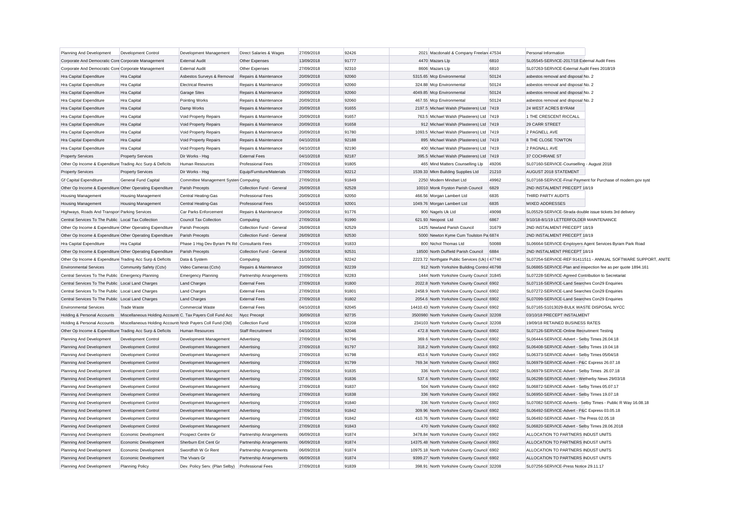| Planning And Development                                  | <b>Development Control</b>                                 | Development Management                           | Direct Salaries & Wages   | 27/09/2018 | 92426 | 2021 Macdonald & Company Freelan 47534         |       | Personal Information                                     |                                                               |
|-----------------------------------------------------------|------------------------------------------------------------|--------------------------------------------------|---------------------------|------------|-------|------------------------------------------------|-------|----------------------------------------------------------|---------------------------------------------------------------|
| Corporate And Democratic Core Corporate Management        |                                                            | <b>External Audit</b>                            | Other Expenses            | 13/09/2018 | 91777 | 4470 Mazars Llo                                | 6810  | SL05545-SERVICE-2017/18 External Audit Fees              |                                                               |
| Corporate And Democratic Core Corporate Management        |                                                            | <b>External Audit</b>                            | Other Expenses            | 27/09/2018 | 92310 | 8606 Mazars Lip                                | 6810  | SL07263-SERVICE-External Audit Fees 2018/19              |                                                               |
| Hra Capital Expenditure                                   | <b>Hra Capital</b>                                         | Asbestos Surveys & Removal                       | Repairs & Maintenance     | 20/09/2018 | 92060 | 5315.65 Mcp Environmental                      | 50124 | asbestos removal and disposal No. 2                      |                                                               |
| Hra Capital Expenditure                                   | Hra Capital                                                | <b>Electrical Rewires</b>                        | Repairs & Maintenance     | 20/09/2018 | 92060 | 324.88 Mcp Environmental                       | 50124 | asbestos removal and disposal No. 2                      |                                                               |
| Hra Capital Expenditure                                   | Hra Capital                                                | <b>Garage Sites</b>                              | Repairs & Maintenance     | 20/09/2018 | 92060 | 4049.85 Mcp Environmental                      | 50124 | asbestos removal and disposal No. 2                      |                                                               |
| Hra Capital Expenditure                                   | Hra Capital                                                | Pointing Works                                   | Repairs & Maintenance     | 20/09/2018 | 92060 | 467.55 Mcp Environmental                       | 50124 | asbestos removal and disposal No. 2                      |                                                               |
| Hra Capital Expenditure                                   | Hra Capital                                                | Damp Works                                       | Repairs & Maintenance     | 20/09/2018 | 91655 | 2197.5 Michael Walsh (Plasterers) Ltd          | 7419  | 24 WEST ACRES BYRAM                                      |                                                               |
| Hra Capital Expenditure                                   | Hra Capital                                                | Void Property Repairs                            | Repairs & Maintenance     | 20/09/2018 | 91657 | 763.5 Michael Walsh (Plasterers) Ltd 7419      |       | 1 THE CRESCENT RICCALL                                   |                                                               |
| Hra Capital Expenditure                                   | Hra Capital                                                | Void Property Repairs                            | Repairs & Maintenance     | 20/09/2018 | 91658 | 912 Michael Walsh (Plasterers) Ltd 7419        |       | 29 CARR STREET                                           |                                                               |
| Hra Capital Expenditure                                   | Hra Capital                                                | Void Property Repairs                            | Repairs & Maintenance     | 20/09/2018 | 91780 | 1093.5 Michael Walsh (Plasterers) Ltd 7419     |       | 2 PAGNELL AVE                                            |                                                               |
| Hra Capital Expenditure                                   | Hra Capital                                                | Void Property Repairs                            | Repairs & Maintenance     | 04/10/2018 | 92188 | 895 Michael Walsh (Plasterers) Ltd 7419        |       | 8 THE CLOSE TOWTON                                       |                                                               |
| Hra Capital Expenditure                                   | Hra Capital                                                | Void Property Repairs                            | Repairs & Maintenance     | 04/10/2018 | 92190 | 400 Michael Walsh (Plasterers) Ltd 7419        |       | 2 PAGNALL AVE                                            |                                                               |
| <b>Property Services</b>                                  | <b>Property Services</b>                                   | Dir Works - Hsg                                  | <b>External Fees</b>      | 04/10/2018 | 92187 | 395.5 Michael Walsh (Plasterers) Ltd 7419      |       | 37 COCHRANE ST                                           |                                                               |
| Other Op Income & Expenditure Trading Acc Surp & Deficits |                                                            | <b>Human Resources</b>                           | <b>Professional Fees</b>  | 27/09/2018 | 91805 | 465 Mind Matters Counselling Llp               | 49206 | SL07160-SERVICE-Counselling - August 2018                |                                                               |
| <b>Property Services</b>                                  | <b>Property Services</b>                                   | Dir Works - Hsg                                  | Equip/Furniture/Materials | 27/09/2018 | 92212 | 1539.33 Mkm Building Supplies Ltd              | 21210 | AUGUST 2018 STATEMENT                                    |                                                               |
| <b>Gf Capital Expenditure</b>                             | General Fund Capital                                       | Committee Management Systen Computing            |                           | 27/09/2018 | 91849 | 2250 Modern Mindset Ltd                        | 49962 |                                                          | SL07168-SERVICE-Final Payment for Purchase of modern.gov syst |
| Other Op Income & Expenditure Other Operating Expenditure |                                                            | Parish Precepts                                  | Collection Fund - General | 26/09/2018 | 92528 | 10010 Monk Fryston Parish Council              | 6829  | 2ND INSTALMENT PRECEPT 18/19                             |                                                               |
| <b>Housing Management</b>                                 | <b>Housing Management</b>                                  | Central Heating-Gas                              | <b>Professional Fees</b>  | 20/09/2018 | 92050 | 466.56 Morgan Lambert Ltd                      | 6835  | THIRD PARTY AUDITS                                       |                                                               |
| <b>Housing Management</b>                                 | <b>Housing Management</b>                                  | Central Heating-Gas                              | <b>Professional Fees</b>  | 04/10/2018 | 92001 | 1049.76 Morgan Lambert Ltd                     | 6835  | <b>MIXED ADDRESSES</b>                                   |                                                               |
| Highways, Roads And Transpor Parking Services             |                                                            | Car Parks Enforcement                            | Repairs & Maintenance     | 20/09/2018 | 91776 | 900 Nagels Uk Ltd                              | 49098 | SL05529-SERVICE-Strada double issue tickets 3rd delivery |                                                               |
| Central Services To The Public Local Tax Collection       |                                                            | <b>Council Tax Collection</b>                    | Computing                 | 27/09/2018 | 91990 | 621.93 Neopost Ltd                             | 6867  | 9/10/18-8/1/19 LETTERFOLDER MAINTENANCE                  |                                                               |
| Other Op Income & Expenditure Other Operating Expenditure |                                                            | Parish Precepts                                  | Collection Fund - General | 26/09/2018 | 92529 | 1425 Newland Parish Council                    | 31679 | 2ND INSTALMENT PRECEPT 18/19                             |                                                               |
| Other Op Income & Expenditure Other Operating Expenditure |                                                            | Parish Precepts                                  | Collection Fund - General | 26/09/2018 | 92530 | 5000 Newton Kyme Cum Toulston Pa 6874          |       | 2ND INSTALMENT PRECEPT 18/19                             |                                                               |
| Hra Capital Expenditure                                   | Hra Capital                                                | Phase 1 Hsg Dev Byram Pk Rd Consultants Fees     |                           | 27/09/2018 | 91833 | 800 Nichol Thomas Ltd                          | 50088 |                                                          | SL06664-SERVICE-Employers Agent Services Byram Park Road      |
| Other Op Income & Expenditure Other Operating Expenditure |                                                            | Parish Precepts                                  | Collection Fund - General | 26/09/2018 | 92531 | 18500 North Duffield Parish Council            | 6884  | 2ND INSTALMENT PRECEPT 18/19                             |                                                               |
| Other Op Income & Expenditure Trading Acc Surp & Deficits |                                                            | Data & System                                    | Computing                 | 11/10/2018 | 92242 | 2223.72 Northgate Public Services (Uk) I 47740 |       |                                                          | SL07254-SERVICE-REF:91411511 - ANNUAL SOFTWARE SUPPORT, ANITE |
| <b>Environmental Services</b>                             | Community Safety (Cctv)                                    | Video Cameras (Cctv)                             | Repairs & Maintenance     | 20/09/2018 | 92239 | 912 North Yorkshire Building Control 46798     |       |                                                          | SL06865-SERVICE-Plan and inspection fee as per quote 1894.161 |
| Central Services To The Public Emergency Planning         |                                                            | <b>Emergency Planning</b>                        | Partnership Arrangements  | 27/09/2018 | 92283 | 1444 North Yorkshire County Council 31845      |       | SL07228-SERVICE-Agreed Contribution to Secretariat       |                                                               |
| Central Services To The Public Local Land Charges         |                                                            | <b>Land Charges</b>                              | <b>External Fees</b>      | 27/09/2018 | 91800 | 2022.8 North Yorkshire County Council 6902     |       | SL07116-SERVICE-Land Searches Con29 Enquiries            |                                                               |
| Central Services To The Public Local Land Charges         |                                                            | <b>Land Charges</b>                              | <b>External Fees</b>      | 27/09/2018 | 91801 | 2458.9 North Yorkshire County Council 6902     |       | SL07272-SERVICE-Land Searches Con29 Enquiries            |                                                               |
| Central Services To The Public Local Land Charges         |                                                            | <b>Land Charges</b>                              | <b>External Fees</b>      | 27/09/2018 | 91802 | 2054.6 North Yorkshire County Council 6902     |       | SL07099-SERVICE-Land Searches Con29 Enquiries            |                                                               |
| <b>Environmental Services</b>                             | <b>Trade Waste</b>                                         | Commercial Waste                                 | <b>External Fees</b>      | 04/10/2018 | 92045 | 14410.43 North Yorkshire County Council 6902   |       | SL07165-S1013029-BULK WASTE DISPOSAL NYCC                |                                                               |
| Holding & Personal Accounts                               | Miscellaneous Holding Accounts C. Tax Payers Coll Fund Acc |                                                  | Nycc Precept              | 30/09/2018 | 92735 | 3500980 North Yorkshire County Council 32208   |       | 03/10/18 PRECEPT INSTALMENT                              |                                                               |
| Holding & Personal Accounts                               | Miscellaneous Holding Accounts Nndr Payers Coll Fund (Old) |                                                  | Collection Fund           | 17/09/2018 | 92208 | 234103 North Yorkshire County Council 32208    |       | 19/09/18 RETAINED BUSINESS RATES                         |                                                               |
| Other Op Income & Expenditure Trading Acc Surp & Deficits |                                                            | <b>Human Resources</b>                           | <b>Staff Recruitment</b>  | 04/10/2018 | 92046 | 472.8 North Yorkshire County Council 6902      |       | SL07126-SERVICE-Online Recruitment Testing               |                                                               |
| Planning And Development                                  | Development Control                                        | Development Management                           | Advertising               | 27/09/2018 | 91796 | 369.6 North Yorkshire County Council 6902      |       | SL06444-SERVICE-Advert - Selby Times 26.04.18            |                                                               |
| Planning And Development                                  | Development Control                                        | Development Management                           | Advertising               | 27/09/2018 | 91797 | 318.2 North Yorkshire County Council 6902      |       | SL06408-SERVICE-Advert - Selby Times 19.04.18            |                                                               |
| Planning And Development                                  | Development Control                                        | Development Management                           | Advertising               | 27/09/2018 | 91798 | 453.6 North Yorkshire County Council 6902      |       | SL06373-SERVICE-Advert - Selby Times 05/04/18            |                                                               |
| Planning And Development                                  | <b>Development Control</b>                                 | Development Management                           | Advertising               | 27/09/2018 | 91799 | 769.34 North Yorkshire County Council 6902     |       | SL06979-SERVICE-Advert - P&C Express 26.07.18            |                                                               |
| Planning And Development                                  | Development Control                                        | Development Management                           | Advertising               | 27/09/2018 | 91835 | 336 North Yorkshire County Council 6902        |       | SL06979-SERVICE-Advert - Selby Times 26.07.18            |                                                               |
| Planning And Development                                  | <b>Development Control</b>                                 | Development Management                           | Advertising               | 27/09/2018 | 91836 | 537.6 North Yorkshire County Council 6902      |       | SL06298-SERVICE-Advert - Wetherby News 29/03/18          |                                                               |
| Planning And Development                                  | <b>Development Control</b>                                 | Development Management                           | Advertising               | 27/09/2018 | 91837 | 504 North Yorkshire County Council 6902        |       | SL06872-SERVICE-Advert - Selby Times 05.07.17            |                                                               |
| Planning And Development                                  | <b>Development Control</b>                                 | Development Management                           | Advertising               | 27/09/2018 | 91838 | 336 North Yorkshire County Council 6902        |       | SL06950-SERVICE-Advert - Selby Times 19.07.18            |                                                               |
| Planning And Development                                  | Development Control                                        | Development Management                           | Advertising               | 27/09/2018 | 91840 | 336 North Yorkshire County Council 6902        |       |                                                          | SL07082-SERVICE-Adverts - Selby Times - Public R Way 16.08.18 |
| Planning And Development                                  | <b>Development Control</b>                                 | Development Management                           | Advertising               | 27/09/2018 | 91842 | 309.96 North Yorkshire County Council 6902     |       | SL06492-SERVICE-Advert - P&C Express 03.05.18            |                                                               |
| Planning And Development                                  | Development Control                                        | Development Management                           | Advertising               | 27/09/2018 | 91842 | 410.76 North Yorkshire County Council 6902     |       | SL06492-SERVICE-Advert - The Press 02.05.18              |                                                               |
| Planning And Development                                  | <b>Development Control</b>                                 | Development Management                           | Advertising               | 27/09/2018 | 91843 | 470 North Yorkshire County Council 6902        |       | SL06820-SERVICE-Advert - Selby Times 28.06.2018          |                                                               |
| Planning And Development                                  | Economic Development                                       | Prospect Centre Gr                               | Partnership Arrangements  | 06/09/2018 | 91874 | 3478.84 North Yorkshire County Council 6902    |       | ALLOCATION TO PARTNERS INDUST UNITS                      |                                                               |
| Planning And Development                                  | Economic Development                                       | Sherburn Ent Cent Gr                             | Partnership Arrangements  | 06/09/2018 | 91874 | 14375.48 North Yorkshire County Council 6902   |       | ALLOCATION TO PARTNERS INDUST UNITS                      |                                                               |
| Planning And Development                                  | Economic Development                                       | Swordfish W Gr Rent                              | Partnership Arrangements  | 06/09/2018 | 91874 | 10975.18 North Yorkshire County Council 6902   |       | ALLOCATION TO PARTNERS INDUST UNITS                      |                                                               |
| Planning And Development                                  | Economic Development                                       | The Vivars Gr                                    | Partnership Arrangements  | 06/09/2018 | 91874 | 9399.27 North Yorkshire County Council 6902    |       | ALLOCATION TO PARTNERS INDUST UNITS                      |                                                               |
| Planning And Development                                  | <b>Planning Policy</b>                                     | Dev. Policy Serv. (Plan Selby) Professional Fees |                           | 27/09/2018 | 91839 | 398.91 North Yorkshire County Council 32208    |       | SL07256-SERVICE-Press Notice 29.11.17                    |                                                               |
|                                                           |                                                            |                                                  |                           |            |       |                                                |       |                                                          |                                                               |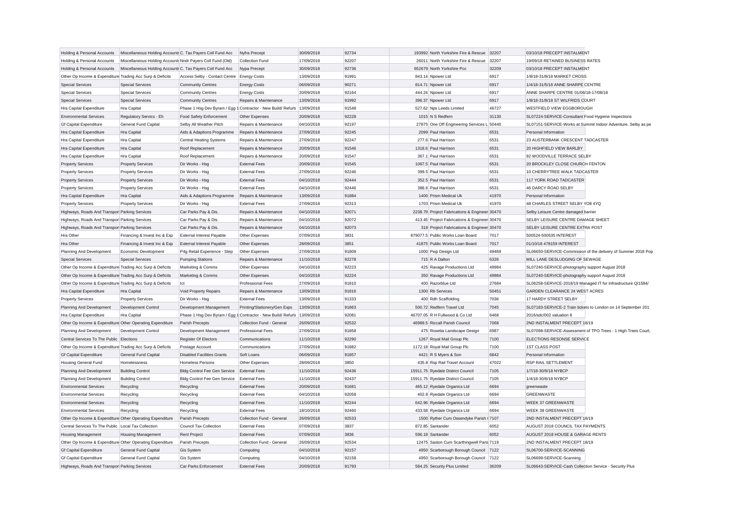| Holding & Personal Accounts                               | Miscellaneous Holding Accounts C. Tax Payers Coll Fund Acc |                                            | Nyfra Precept                                                           | 30/09/2018 | 92734 | 193992 North Yorkshire Fire & Rescue 32207    |       | 03/10/18 PRECEPT INSTALMENT                             |                                                               |
|-----------------------------------------------------------|------------------------------------------------------------|--------------------------------------------|-------------------------------------------------------------------------|------------|-------|-----------------------------------------------|-------|---------------------------------------------------------|---------------------------------------------------------------|
| Holding & Personal Accounts                               | Miscellaneous Holding Accounts Nndr Payers Coll Fund (Old) |                                            | <b>Collection Fund</b>                                                  | 17/09/2018 | 92207 | 26011 North Yorkshire Fire & Rescue 32207     |       | 19/09/18 RETAINED BUSINESS RATES                        |                                                               |
| Holding & Personal Accounts                               | Miscellaneous Holding Accounts C. Tax Payers Coll Fund Acc |                                            | Nypa Precept                                                            | 30/09/2018 | 92736 | 652679 North Yorkshire Pcc                    | 32209 | 03/10/18 PRECEPT INSTALMENT                             |                                                               |
| Other Op Income & Expenditure Trading Acc Surp & Deficits |                                                            | Access Selby - Contact Centre Energy Costs |                                                                         | 13/09/2018 | 91991 | 843.14 Npower Ltd                             | 6917  | 1/8/18-31/8/18 MARKET CROSS                             |                                                               |
| <b>Special Services</b>                                   | <b>Special Services</b>                                    | <b>Community Centres</b>                   | <b>Energy Costs</b>                                                     | 06/09/2018 | 90271 | 814.71 Npower Ltd                             | 6917  | 1/4/18-31/5/18 ANNE SHARPE CENTRE                       |                                                               |
| <b>Special Services</b>                                   | <b>Special Services</b>                                    | <b>Community Centres</b>                   | <b>Energy Costs</b>                                                     | 20/09/2018 | 92164 | 444.24 Npower Ltd                             | 6917  | ANNE SHARPE CENTRE 01/06/18-17/08/18                    |                                                               |
| <b>Special Services</b>                                   | <b>Special Services</b>                                    | <b>Community Centres</b>                   | Repairs & Maintenance                                                   | 13/09/2018 | 91992 | 396.37 Npower Ltd                             | 6917  | 1/8/18-31/8/18 ST WILFRIDS COURT                        |                                                               |
| Hra Capital Expenditure                                   | Hra Capital                                                |                                            | Phase 1 Hsg Dev Byram / Egg 1 Contractor - New Build/ Refurb 13/09/2018 |            | 91548 | 527.62 Nps Leeds Limited                      | 46727 | WESTFIELD VIEW EGGBOROUGH                               |                                                               |
| <b>Environmental Services</b>                             | Regulatory Servics - Eh                                    | Food Safety Enforcement                    | Other Expenses                                                          | 20/09/2018 | 92228 | 1015 N S Redfern                              | 31130 | SL07224-SERVICE-Consultant Food Hygiene Inspections     |                                                               |
| <b>Gf Capital Expenditure</b>                             | General Fund Capital                                       | Selby All Weather Pitch                    | Repairs & Maintenance                                                   | 04/10/2018 | 92197 | 27875 One Off Engineering Services L 50440    |       |                                                         | SL07151-SERVICE-Works at Summit Indoor Adventure, Selby as pe |
| Hra Capital Expenditure                                   | Hra Capital                                                | Aids & Adaptions Programme                 | Repairs & Maintenance                                                   | 27/09/2018 | 92245 | 2099 Paul Harrison                            | 6531  | Personal Information                                    |                                                               |
| Hra Capital Expenditure                                   | Hra Capital                                                | <b>Central Heating Systems</b>             | Repairs & Maintenance                                                   | 27/09/2018 | 92247 | 277.6 Paul Harrison                           | 6531  | 23 AUSTERBANK CRESCENT TADCASTER                        |                                                               |
| Hra Capital Expenditure                                   | Hra Capital                                                | Roof Replacement                           | Repairs & Maintenance                                                   | 20/09/2018 | 91546 | 1318.6 Paul Harrison                          | 6531  | 20 HIGHFIELD VIEW BARLBY                                |                                                               |
| Hra Capital Expenditure                                   | Hra Capital                                                | Roof Replacement                           | Repairs & Maintenance                                                   | 20/09/2018 | 91547 | 367.1 Paul Harrison                           | 6531  | 92 WOODVILLE TERRACE SELBY                              |                                                               |
| <b>Property Services</b>                                  | <b>Property Services</b>                                   | Dir Works - Hsg                            | <b>External Fees</b>                                                    | 20/09/2018 | 91545 | 1067.5 Paul Harrison                          | 6531  | 20 BROCKLEY CLOSE CHURCH FENTON                         |                                                               |
| <b>Property Services</b>                                  | <b>Property Services</b>                                   | Dir Works - Hsg                            | <b>External Fees</b>                                                    | 27/09/2018 | 92246 | 399.5 Paul Harrison                           | 6531  | 10 CHERRYTREE WALK TADCASTER                            |                                                               |
| <b>Property Services</b>                                  | <b>Property Services</b>                                   | Dir Works - Hsg                            | <b>External Fees</b>                                                    | 04/10/2018 | 92444 | 352.5 Paul Harrison                           | 6531  | 117 YORK ROAD TADCASTER                                 |                                                               |
| <b>Property Services</b>                                  | <b>Property Services</b>                                   | Dir Works - Hsg                            | <b>External Fees</b>                                                    | 04/10/2018 | 92446 | 388.6 Paul Harrison                           | 6531  | 46 DARCY ROAD SELBY                                     |                                                               |
| Hra Capital Expenditure                                   | Hra Capital                                                | Aids & Adaptions Programme                 | Repairs & Maintenance                                                   | 13/09/2018 | 91884 | 1400 Prism Medical Uk                         | 41970 | Personal Information                                    |                                                               |
| <b>Property Services</b>                                  | <b>Property Services</b>                                   | Dir Works - Hsg                            | <b>External Fees</b>                                                    | 27/09/2018 | 92313 | 1703 Prism Medical Uk                         | 41970 | 48 CHARLES STREET SELBY YO8 4YQ                         |                                                               |
| Highways, Roads And Transpor Parking Services             |                                                            | Car Parks Pay & Dis.                       | Repairs & Maintenance                                                   | 04/10/2018 | 92071 | 2238.79 Project Fabrications & Engineer 30470 |       | Selby Leisure Centre damaged barrier                    |                                                               |
| Highways, Roads And Transpor Parking Services             |                                                            | Car Parks Pay & Dis.                       | Repairs & Maintenance                                                   | 04/10/2018 | 92072 | 413.45 Project Fabrications & Engineer 30470  |       | SELBY LEISURE CENTRE DAMAGE SHEET                       |                                                               |
| Highways, Roads And Transpor Parking Services             |                                                            | Car Parks Pay & Dis.                       | Repairs & Maintenance                                                   | 04/10/2018 | 92073 | 318 Project Fabrications & Engineer 30470     |       | SELBY LEISURE CENTRE EXTRA POST                         |                                                               |
| Hra Other                                                 | Financing & Invest Inc & Exp                               | External Interest Payable                  | Other Expenses                                                          | 07/09/2018 | 3831  | 879077.5 Public Works Loan Board              | 7017  | 500524-500535 INTEREST                                  |                                                               |
| Hra Other                                                 | Financing & Invest Inc & Exp                               | <b>External Interest Payable</b>           | Other Expenses                                                          | 28/09/2018 | 3851  | 41875 Public Works Loan Board                 | 7017  | 01/10/18 478159 INTEREST                                |                                                               |
| Planning And Development                                  | Economic Development                                       | P4g Retail Experience - Step               | Other Expenses                                                          | 27/09/2018 | 91809 | 1000 Pwp Design Ltd                           | 49469 |                                                         | SL06650-SERVICE-Commission of the delivery of Summer 2018 Pop |
| <b>Special Services</b>                                   | <b>Special Services</b>                                    | <b>Pumping Stations</b>                    | Repairs & Maintenance                                                   | 11/10/2018 | 92278 | 715 R A Dalton                                | 6326  | MILL LANE DESLUDGING OF SEWAGE                          |                                                               |
| Other Op Income & Expenditure Trading Acc Surp & Deficits |                                                            | Marketing & Comms                          | Other Expenses                                                          | 04/10/2018 | 92223 | 425 Ravage Productions Ltd                    | 49984 | SL07240-SERVICE-photography support August 2018         |                                                               |
| Other Op Income & Expenditure Trading Acc Surp & Deficits |                                                            | Marketing & Comms                          | Other Expenses                                                          | 04/10/2018 | 92224 | 350 Ravage Productions Ltd                    | 49984 | SL07240-SERVICE-photography support August 2018         |                                                               |
| Other Op Income & Expenditure Trading Acc Surp & Deficits |                                                            | Ict                                        | <b>Professional Fees</b>                                                | 27/09/2018 | 91810 | 400 Razorblue Ltd                             | 27684 |                                                         | SL06258-SERVICE-2018/19 Managed IT for Infrastructure Q/1584/ |
| Hra Capital Expenditure                                   | Hra Capital                                                | Void Property Repairs                      | Repairs & Maintenance                                                   | 13/09/2018 | 91816 | 1300 Rb Services                              | 50451 | GARDEN CLEARANCE 24 WEST ACRES                          |                                                               |
| <b>Property Services</b>                                  | <b>Property Services</b>                                   | Dir Works - Hsg                            | <b>External Fees</b>                                                    | 13/09/2018 | 91333 | 400 Rdh Scaffolding                           | 7036  | 17 HARDY STREET SELBY                                   |                                                               |
| Planning And Development                                  | Development Control                                        | Development Management                     | Printing/Stationery/Gen Exps                                            | 13/09/2018 | 91863 | 500.72 Redfern Travel Ltd                     | 7045  |                                                         | SL07183-SERVICE-2 Train tickets to London on 14 September 201 |
| Hra Capital Expenditure                                   | Hra Capital                                                | Phase 1 Hsg Dev Byram / Egg                | 1 Contractor - New Build/ Refurb   13/09/2018                           |            | 92081 | 46707.05 R H Fullwood & Co Ltd                | 6468  | 2016/sdc/002 valuation 8                                |                                                               |
| Other Op Income & Expenditure Other Operating Expenditure |                                                            | Parish Precepts                            | Collection Fund - General                                               | 26/09/2018 | 92532 | 46989.5 Riccall Parish Council                | 7068  | 2ND INSTALMENT PRECEPT 18/19                            |                                                               |
| Planning And Development                                  | Development Control                                        | Development Management                     | <b>Professional Fees</b>                                                | 27/09/2018 | 91858 | 475 Rosetta Landscape Design                  | 6987  |                                                         | SL07098-SERVICE-Assessment of TPO Trees - 1 High Trees Court, |
| Central Services To The Public Elections                  |                                                            | <b>Register Of Electors</b>                | Communications                                                          | 11/10/2018 | 92290 | 1267 Royal Mail Group Plc                     | 7100  | ELECTIONS RESONSE SERVICE                               |                                                               |
| Other Op Income & Expenditure Trading Acc Surp & Deficits |                                                            | Postage Account                            | Communications                                                          | 27/09/2018 | 91882 | 1172.18 Royal Mail Group Plc                  | 7100  | <b>1ST CLASS POST</b>                                   |                                                               |
| <b>Gf Capital Expenditure</b>                             | <b>General Fund Capital</b>                                | <b>Disabled Facilities Grants</b>          | Soft Loans                                                              | 06/09/2018 | 91857 | 4421 R S Myers & Son                          | 6842  | Personal Information                                    |                                                               |
| <b>Housing General Fund</b>                               | Homelessness                                               | <b>Homeless Persons</b>                    | Other Expenses                                                          | 28/09/2018 | 3850  | 435.8 Rsp Rail Travel Account                 | 47022 | RSP RAIL SETTLEMENT                                     |                                                               |
| Planning And Development                                  | <b>Building Control</b>                                    | <b>Bldg Control Fee Gen Service</b>        | <b>External Fees</b>                                                    | 11/10/2018 | 92436 | 15911.75 Ryedale District Council             | 7105  | 1/7/18-30/9/18 NYBCP                                    |                                                               |
| Planning And Development                                  | <b>Building Control</b>                                    | Bldg Control Fee Gen Service               | <b>External Fees</b>                                                    | 11/10/2018 | 92437 | 15911.75 Ryedale District Council             | 7105  | 1/4/18-30/6/18 NYBCP                                    |                                                               |
| <b>Environmental Services</b>                             | Recycling                                                  | Recycling                                  | <b>External Fees</b>                                                    | 20/09/2018 | 91681 | 465.12 Ryedale Organics Ltd                   | 6694  | greenwaste                                              |                                                               |
| <b>Environmental Services</b>                             | Recycling                                                  | Recycling                                  | <b>External Fees</b>                                                    | 04/10/2018 | 92058 | 402.8 Ryedale Organics Ltd                    | 6694  | <b>GREENWASTE</b>                                       |                                                               |
| <b>Environmental Services</b>                             | Recycling                                                  | Recycling                                  | <b>External Fees</b>                                                    | 11/10/2018 | 92244 | 642.96 Ryedale Organics Ltd                   | 6694  | <b>WEEK 37 GREENWASTE</b>                               |                                                               |
| <b>Environmental Services</b>                             | Recycling                                                  | Recycling                                  | <b>External Fees</b>                                                    | 18/10/2018 | 92460 | 433.58 Ryedale Organics Ltd                   | 6694  | <b>WEEK 38 GREENWASTE</b>                               |                                                               |
| Other Op Income & Expenditure Other Operating Expenditure |                                                            | Parish Precepts                            | Collection Fund - General                                               | 26/09/2018 | 92533 | 1500 Ryther Cum Ossendyke Parish (7107        |       | 2ND INSTALMENT PRECEPT 18/19                            |                                                               |
| Central Services To The Public Local Tax Collection       |                                                            | Council Tax Collection                     | <b>External Fees</b>                                                    | 07/09/2018 | 3837  | 872.85 Santander                              | 6052  | AUGUST 2018 COUNCIL TAX PAYMENTS                        |                                                               |
| <b>Housing Management</b>                                 | <b>Housing Management</b>                                  | <b>Rent Project</b>                        | <b>External Fees</b>                                                    | 07/09/2018 | 3836  | 596.18 Santander                              | 6052  | AUGUST 2018 HOUSE & GARAGE RENTS                        |                                                               |
| Other Op Income & Expenditure Other Operating Expenditure |                                                            | Parish Precepts                            | Collection Fund - General                                               | 26/09/2018 | 92534 | 12475 Saxton Cum Scarthingwell Paris 7119     |       | 2ND INSTALMENT PRECEPT 18/19                            |                                                               |
| <b>Gf Capital Expenditure</b>                             | <b>General Fund Capital</b>                                | <b>Gis System</b>                          | Computing                                                               | 04/10/2018 | 92157 | 4950 Scarborough Borough Council 7122         |       | SL06700-SERVICE-SCANNING                                |                                                               |
| <b>Gf Capital Expenditure</b>                             | General Fund Capital                                       | <b>Gis System</b>                          | Computing                                                               | 04/10/2018 | 92158 | 4950 Scarborough Borough Council              | 7122  | SL06699-SERVICE-Scanning                                |                                                               |
| Highways, Roads And Transpor Parking Services             |                                                            | Car Parks Enforcement                      | <b>External Fees</b>                                                    | 20/09/2018 | 91793 | 584.25 Security Plus Limited                  | 36209 | SL06643-SERVICE-Cash Collection Service - Security Plus |                                                               |
|                                                           |                                                            |                                            |                                                                         |            |       |                                               |       |                                                         |                                                               |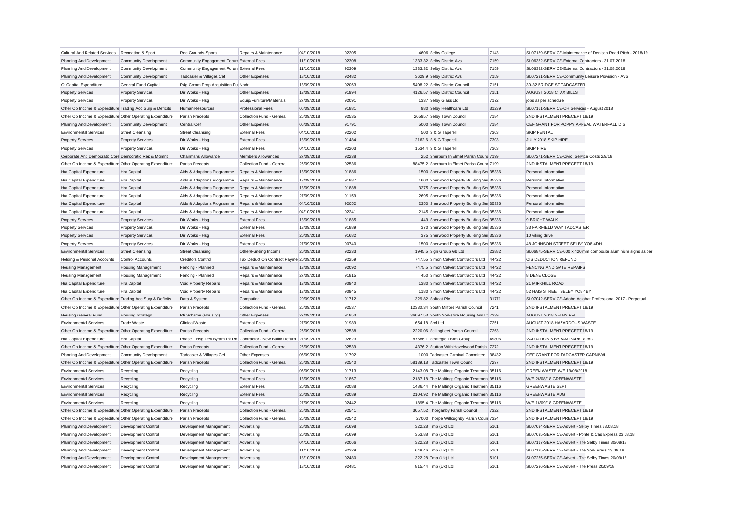| <b>Cultural And Related Services</b>                                                  | Recreation & Sport           | Rec Grounds-Sports                                                    | Repairs & Maintenance                        | 04/10/2018               | 92205 | 4606 Selby College                                                                         |                                          | 7143  |                                                             | SL07189-SERVICE-Maintenance of Denison Road Pitch - 2018/19   |
|---------------------------------------------------------------------------------------|------------------------------|-----------------------------------------------------------------------|----------------------------------------------|--------------------------|-------|--------------------------------------------------------------------------------------------|------------------------------------------|-------|-------------------------------------------------------------|---------------------------------------------------------------|
| Planning And Development                                                              | <b>Community Development</b> | Community Engagement Forum External Fees                              |                                              | 11/10/2018               | 92308 | 1333.32 Selby District Avs                                                                 |                                          | 7159  | SL06382-SERVICE-External Contractors - 31.07.2018           |                                                               |
| Planning And Development                                                              | <b>Community Development</b> | Community Engagement Forum External Fees                              |                                              | 11/10/2018               | 92309 | 1333.32 Selby District Avs                                                                 |                                          | 7159  | SL06382-SERVICE-External Contractors - 31.08.2018           |                                                               |
| Planning And Development                                                              | <b>Community Development</b> | Tadcaster & Villages Cef                                              | Other Expenses                               | 18/10/2018               | 92482 | 3629.9 Selby District Avs                                                                  |                                          | 7159  | SL07291-SERVICE-Community Leisure Provision - AVS           |                                                               |
| <b>Gf Capital Expenditure</b>                                                         | General Fund Capital         | P4g Comm Prop Acquisition Fur Nndr                                    |                                              | 13/09/2018               | 92063 | 5408.22 Selby District Council                                                             |                                          | 7151  | 30-32 BRIDGE ST TADCASTER                                   |                                                               |
| <b>Property Services</b>                                                              | <b>Property Services</b>     | Dir Works - Hsg                                                       | Other Expenses                               | 13/09/2018               | 91994 | 4126.57 Selby District Council                                                             |                                          | 7151  | AUGUST 2018 CTAX BILLS                                      |                                                               |
| <b>Property Services</b>                                                              | <b>Property Services</b>     | Dir Works - Hsg                                                       | Equip/Furniture/Materials                    | 27/09/2018               | 92091 | 1337 Selby Glass Ltd                                                                       |                                          | 7172  | jobs as per schedule                                        |                                                               |
| Other Op Income & Expenditure Trading Acc Surp & Deficits                             |                              | Human Resources                                                       | <b>Professional Fees</b>                     | 06/09/2018               | 91881 | 980 Selby Healthcare Ltd                                                                   |                                          | 31239 | SL07161-SERVICE-OH Services - August 2018                   |                                                               |
| Other Op Income & Expenditure Other Operating Expenditure                             |                              | Parish Precepts                                                       | Collection Fund - General                    | 26/09/2018               | 92535 | 265957 Selby Town Council                                                                  |                                          | 7184  | 2ND INSTALMENT PRECEPT 18/19                                |                                                               |
| Planning And Development                                                              | <b>Community Development</b> | Central Cef                                                           | Other Expenses                               | 06/09/2018               | 91791 | 5000 Selby Town Council                                                                    |                                          | 7184  | CEF GRANT FOR POPPY APPEAL WATERFALL DIS                    |                                                               |
| <b>Environmental Services</b>                                                         | <b>Street Cleansing</b>      | <b>Street Cleansing</b>                                               | <b>External Fees</b>                         | 04/10/2018               | 92202 | 500 S & G Taperell                                                                         |                                          | 7303  | <b>SKIP RENTAL</b>                                          |                                                               |
| <b>Property Services</b>                                                              | <b>Property Services</b>     | Dir Works - Hsg                                                       | <b>External Fees</b>                         | 13/09/2018               | 91484 | 2162.6 S & G Taperell                                                                      |                                          | 7303  | JULY 2018 SKIP HIRE                                         |                                                               |
| <b>Property Services</b>                                                              | <b>Property Services</b>     | Dir Works - Hsg                                                       | <b>External Fees</b>                         | 04/10/2018               | 92203 | 1534.4 S & G Taperell                                                                      |                                          | 7303  | <b>SKIP HIRE</b>                                            |                                                               |
| Corporate And Democratic Core Democratic Rep & Mgmnt                                  |                              | Chairmans Allowance                                                   | <b>Members Allowances</b>                    | 27/09/2018               | 92238 |                                                                                            | 252 Sherburn In Elmet Parish Cound 7199  |       | SL07271-SERVICE-Civic Service Costs 2/9/18                  |                                                               |
| Other Op Income & Expenditure Other Operating Expenditure                             |                              | Parish Precepts                                                       | Collection Fund - General                    | 26/09/2018               | 92536 | 88475.2 Sherburn In Elmet Parish Cound 7199                                                |                                          |       | 2ND INSTALMENT PRECEPT 18/19                                |                                                               |
| Hra Capital Expenditure                                                               | Hra Capital                  | Aids & Adaptions Programme                                            | Repairs & Maintenance                        | 13/09/2018               | 91886 | 1500 Sherwood Property Building Ser 35336                                                  |                                          |       | Personal Information                                        |                                                               |
| Hra Capital Expenditure                                                               | Hra Capital                  | Aids & Adaptions Programme                                            | Repairs & Maintenance                        | 13/09/2018               | 91887 | 1600 Sherwood Property Building Ser 35336                                                  |                                          |       | Personal Information                                        |                                                               |
| Hra Capital Expenditure                                                               | Hra Capital                  | Aids & Adaptions Programme                                            | Repairs & Maintenance                        | 13/09/2018               | 91888 | 3275 Sherwood Property Building Ser 35336                                                  |                                          |       | Personal Information                                        |                                                               |
| Hra Capital Expenditure                                                               | Hra Capital                  | Aids & Adaptions Programme                                            | Repairs & Maintenance                        | 27/09/2018               | 91159 | 2695 Sherwood Property Building Ser 35336                                                  |                                          |       | Personal Information                                        |                                                               |
| Hra Capital Expenditure                                                               | Hra Capital                  | Aids & Adaptions Programme                                            | Repairs & Maintenance                        | 04/10/2018               | 92052 | 2350 Sherwood Property Building Ser 35336                                                  |                                          |       | Personal Information                                        |                                                               |
| Hra Capital Expenditure                                                               | Hra Capital                  | Aids & Adaptions Programme                                            | Repairs & Maintenance                        | 04/10/2018               | 92241 | 2145 Sherwood Property Building Ser 35336                                                  |                                          |       | Personal Information                                        |                                                               |
| <b>Property Services</b>                                                              | <b>Property Services</b>     | Dir Works - Hsg                                                       | <b>External Fees</b>                         | 13/09/2018               | 91885 |                                                                                            | 449 Sherwood Property Building Ser 35336 |       | 9 BRIGHT WALK                                               |                                                               |
| <b>Property Services</b>                                                              | <b>Property Services</b>     | Dir Works - Hsg                                                       | <b>External Fees</b>                         | 13/09/2018               | 91889 |                                                                                            | 370 Sherwood Property Building Ser 35336 |       | 33 FAIRFIELD WAY TADCASTER                                  |                                                               |
| <b>Property Services</b>                                                              | <b>Property Services</b>     | Dir Works - Hsg                                                       | <b>External Fees</b>                         | 20/09/2018               | 91682 |                                                                                            | 375 Sherwood Property Building Ser 35336 |       | 10 viking drive                                             |                                                               |
| <b>Property Services</b>                                                              | <b>Property Services</b>     | Dir Works - Hsg                                                       | <b>External Fees</b>                         | 27/09/2018               | 90740 | 1500 Sherwood Property Building Ser 35336                                                  |                                          |       | 48 JOHNSON STREET SELBY YO8 4DH                             |                                                               |
| <b>Environmental Services</b>                                                         | <b>Street Cleansing</b>      | <b>Street Cleansing</b>                                               | Other/Funding Income                         | 20/09/2018               | 92233 | 1945.5 Sign Group Gb Ltd                                                                   |                                          | 23882 |                                                             | SL06875-SERVICE-600 x 420 mm composite aluminium signs as per |
| Holding & Personal Accounts                                                           | Control Accounts             | <b>Creditors Control</b>                                              | Tax Deduct On Contract Payme 20/09/2018      |                          | 92259 | 747.55 Simon Calvert Contractors Ltd                                                       |                                          | 44422 | CIS DEDUCTION REFUND                                        |                                                               |
| <b>Housing Management</b>                                                             | <b>Housing Management</b>    | Fencing - Planned                                                     | Repairs & Maintenance                        | 13/09/2018               | 92092 | 7475.5 Simon Calvert Contractors Ltd                                                       |                                          | 44422 | FENCING AND GATE REPAIRS                                    |                                                               |
| <b>Housing Management</b>                                                             | <b>Housing Management</b>    | Fencing - Planned                                                     | Repairs & Maintenance                        | 27/09/2018               | 91815 |                                                                                            | 450 Simon Calvert Contractors Ltd        | 44422 | 8 DENE CLOSE                                                |                                                               |
| Hra Capital Expenditure                                                               | Hra Capital                  | Void Property Repairs                                                 | Repairs & Maintenance                        | 13/09/2018               | 90940 | 1380 Simon Calvert Contractors Ltd                                                         |                                          | 44422 | 21 MIRKHILL ROAD                                            |                                                               |
| Hra Capital Expenditure                                                               | Hra Capital                  | Void Property Repairs                                                 | Repairs & Maintenance                        | 13/09/2018               | 90945 | 1180 Simon Calvert Contractors Ltd                                                         |                                          | 44422 | 52 HAIG STREET SELBY YO8 4BY                                |                                                               |
| Other Op Income & Expenditure Trading Acc Surp & Deficits                             |                              | Data & System                                                         | Computing                                    | 20/09/2018               | 91712 | 329.82 Softcat Plc                                                                         |                                          | 31771 | SL07042-SERVICE-Adobe Acrobat Professional 2017 - Perpetual |                                                               |
| Other Op Income & Expenditure Other Operating Expenditure                             |                              | Parish Precepts                                                       | Collection Fund - General                    | 26/09/2018               | 92537 | 12330.34 South Milford Parish Council                                                      |                                          | 7241  | 2ND INSTALMENT PRECEPT 18/19                                |                                                               |
| <b>Housing General Fund</b>                                                           | <b>Housing Strategy</b>      | Pfi Scheme (Housing)                                                  | Other Expenses                               | 27/09/2018               | 91853 | 36097.53 South Yorkshire Housing Ass Lt 7239                                               |                                          |       | AUGUST 2018 SELBY PFI                                       |                                                               |
| <b>Environmental Services</b>                                                         | <b>Trade Waste</b>           | <b>Clinical Waste</b>                                                 | <b>External Fees</b>                         | 27/09/2018               | 91989 | 654.18 Srcl Ltd                                                                            |                                          | 7251  | AUGUST 2018 HAZARDOUS WASTE                                 |                                                               |
| Other Op Income & Expenditure Other Operating Expenditure                             |                              | Parish Precepts                                                       | Collection Fund - General                    | 26/09/2018               | 92538 | 2220.06 Stillingfleet Parish Council                                                       |                                          | 7263  | 2ND INSTALMENT PRECEPT 18/19                                |                                                               |
| Hra Capital Expenditure                                                               | Hra Capital                  | Phase 1 Hsg Dev Byram Pk Rd Contractor - New Build/ Refurb 27/09/2018 |                                              |                          | 92623 | 87686.1 Strategic Team Group                                                               |                                          | 49806 | VALUATION 5 BYRAM PARK ROAD                                 |                                                               |
|                                                                                       |                              |                                                                       |                                              | 26/09/2018               | 92539 | 4376.2 Stutton With Hazelwood Parish 7272                                                  |                                          |       | 2ND INSTALMENT PRECEPT 18/19                                |                                                               |
| Other Op Income & Expenditure Other Operating Expenditure<br>Planning And Development | Community Development        | Parish Precepts<br>Tadcaster & Villages Cef                           | Collection Fund - General<br>Other Expenses  | 06/09/2018               | 91792 | 1000 Tadcaster Carnival Committee                                                          |                                          | 38432 | CEF GRANT FOR TADCASTER CARNIVAL                            |                                                               |
| Other Op Income & Expenditure Other Operating Expenditure                             |                              | Parish Precepts                                                       | Collection Fund - General                    | 26/09/2018               | 92540 | 58139.18 Tadcaster Town Council                                                            |                                          | 7297  | 2ND INSTALMENT PRECEPT 18/19                                |                                                               |
|                                                                                       |                              |                                                                       |                                              |                          | 91713 |                                                                                            |                                          |       |                                                             |                                                               |
| <b>Environmental Services</b>                                                         | Recycling                    | Recycling                                                             | <b>External Fees</b>                         | 06/09/2018<br>13/09/2018 | 91867 | 2143.08 The Maltings Organic Treatmen 35116                                                |                                          |       | GREEN WASTE W/E 19/08/2018<br>W/E 26/08/18 GREENWASTE       |                                                               |
| <b>Environmental Services</b>                                                         | Recycling                    | Recycling                                                             | <b>External Fees</b><br><b>External Fees</b> | 20/09/2018               | 92088 | 2187.18 The Maltings Organic Treatmen 35116<br>1486.44 The Maltings Organic Treatmen 35116 |                                          |       |                                                             |                                                               |
| <b>Environmental Services</b>                                                         | Recycling                    | Recycling                                                             |                                              |                          |       |                                                                                            |                                          |       | <b>GREENWASTE SEPT</b>                                      |                                                               |
| <b>Environmental Services</b>                                                         | Recycling                    | Recycling                                                             | <b>External Fees</b>                         | 20/09/2018               | 92089 | 2104.92 The Maltings Organic Treatmen 35116                                                |                                          |       | <b>GREENWASTE AUG</b>                                       |                                                               |
| <b>Environmental Services</b>                                                         | Recycling                    | Recycling                                                             | <b>External Fees</b>                         | 27/09/2018               | 92442 | 1895.4 The Maltings Organic Treatmen 35116                                                 |                                          |       | W/E 16/09/18 GREENWASTE                                     |                                                               |
| Other Op Income & Expenditure Other Operating Expenditure                             |                              | Parish Precepts                                                       | Collection Fund - General                    | 26/09/2018               | 92541 | 3057.52 Thorganby Parish Council                                                           |                                          | 7322  | 2ND INSTALMENT PRECEPT 18/19                                |                                                               |
| Other Op Income & Expenditure Other Operating Expenditure                             |                              | Parish Precepts                                                       | Collection Fund - General                    | 26/09/2018               | 92542 | 27000 Thorpe Willoughby Parish Coun 7324                                                   |                                          |       | 2ND INSTALMENT PRECEPT 18/19                                |                                                               |
| Planning And Development                                                              | Development Control          | Development Management                                                | Advertising                                  | 20/09/2018               | 91698 | 322.28 Tmp (Uk) Ltd                                                                        |                                          | 5101  | SL07094-SERVICE-Advert - Selby Times 23.08.18               |                                                               |
| Planning And Development                                                              | Development Control          | Development Management                                                | Advertising                                  | 20/09/2018               | 91699 | 353.88 Tmp (Uk) Ltd                                                                        |                                          | 5101  | SL07095-SERVICE-Advert - Ponte & Cas Express 23.08.18       |                                                               |
| Planning And Development                                                              | Development Control          | Development Management                                                | Advertising                                  | 04/10/2018               | 92066 | 322.28 Tmp (Uk) Ltd                                                                        |                                          | 5101  | SL07117-SERVICE-Advert - The Selby Times 30/08/18           |                                                               |
| Planning And Development                                                              | Development Control          | Development Management                                                | Advertising                                  | 11/10/2018               | 92229 | 649.46 Tmp (Uk) Ltd                                                                        |                                          | 5101  | SL07195-SERVICE-Advert - The York Press 13.09.18            |                                                               |
| Planning And Development                                                              | Development Control          | Development Management                                                | Advertising                                  | 18/10/2018               | 92480 | 322.28 Tmp (Uk) Ltd                                                                        |                                          | 5101  | SL07235-SERVICE-Advert - The Selby Times 20/09/18           |                                                               |
| Planning And Development                                                              | Development Control          | Development Management                                                | Advertising                                  | 18/10/2018               | 92481 | 815.44 Tmp (Uk) Ltd                                                                        |                                          | 5101  | SL07236-SERVICE-Advert - The Press 20/09/18                 |                                                               |